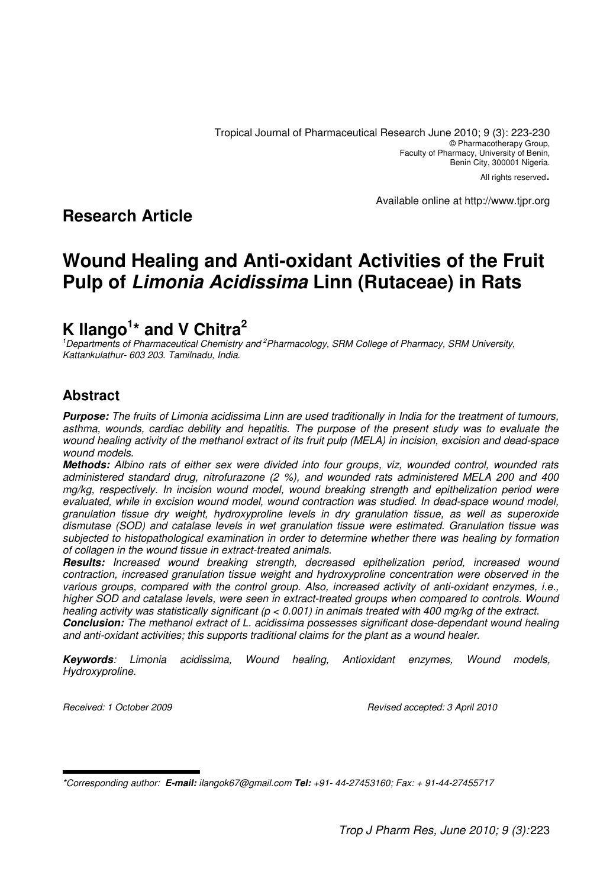#### Available online at http://www.tjpr.org

# **Research Article**

# **Wound Healing and Anti-oxidant Activities of the Fruit Pulp of Limonia Acidissima Linn (Rutaceae) in Rats**

# **K Ilango<sup>1</sup> \* and V Chitra<sup>2</sup>**

<sup>1</sup>Departments of Pharmaceutical Chemistry and <sup>2</sup>Pharmacology, SRM College of Pharmacy, SRM University, Kattankulathur- 603 203. Tamilnadu, India.

# **Abstract**

**Purpose:** The fruits of Limonia acidissima Linn are used traditionally in India for the treatment of tumours, asthma, wounds, cardiac debility and hepatitis. The purpose of the present study was to evaluate the wound healing activity of the methanol extract of its fruit pulp (MELA) in incision, excision and dead-space wound models.

**Methods:** Albino rats of either sex were divided into four groups, viz, wounded control, wounded rats administered standard drug, nitrofurazone (2 %), and wounded rats administered MELA 200 and 400 mg/kg, respectively. In incision wound model, wound breaking strength and epithelization period were evaluated, while in excision wound model, wound contraction was studied. In dead-space wound model, granulation tissue dry weight, hydroxyproline levels in dry granulation tissue, as well as superoxide dismutase (SOD) and catalase levels in wet granulation tissue were estimated. Granulation tissue was subjected to histopathological examination in order to determine whether there was healing by formation of collagen in the wound tissue in extract-treated animals.

**Results:** Increased wound breaking strength, decreased epithelization period, increased wound contraction, increased granulation tissue weight and hydroxyproline concentration were observed in the various groups, compared with the control group. Also, increased activity of anti-oxidant enzymes, i.e., higher SOD and catalase levels, were seen in extract-treated groups when compared to controls. Wound healing activity was statistically significant ( $p < 0.001$ ) in animals treated with 400 mg/kg of the extract. **Conclusion:** The methanol extract of L. acidissima possesses significant dose-dependant wound healing and anti-oxidant activities; this supports traditional claims for the plant as a wound healer.

**Keywords**: Limonia acidissima, Wound healing, Antioxidant enzymes, Wound models, Hydroxyproline.

Received: 1 October 2009 **Received: 1 October 2009** Revised accepted: 3 April 2010

<sup>\*</sup>Corresponding author: **E-mail:** ilangok67@gmail.com **Tel:** +91- 44-27453160; Fax: + 91-44-27455717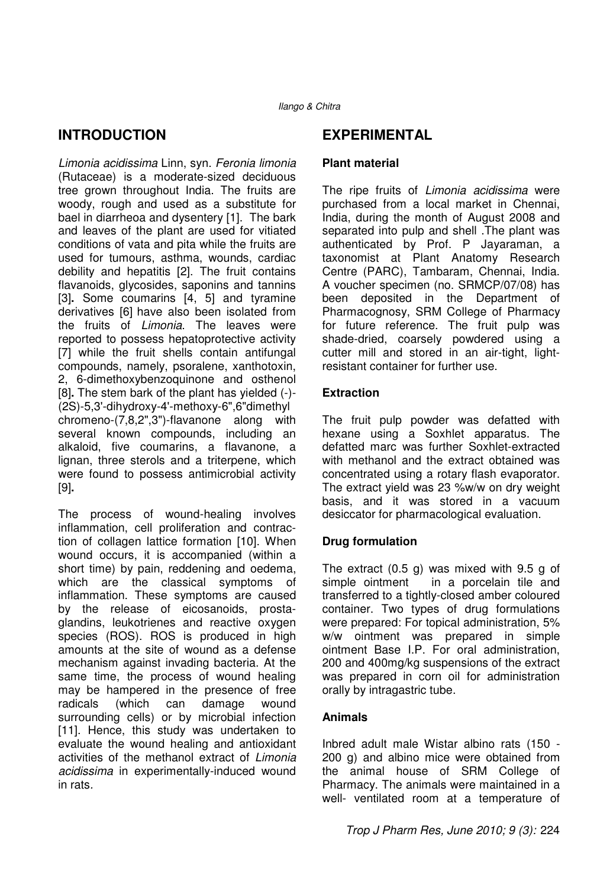## **INTRODUCTION**

Limonia acidissima Linn, syn. Feronia limonia (Rutaceae) is a moderate-sized deciduous tree grown throughout India. The fruits are woody, rough and used as a substitute for bael in diarrheoa and dysentery [1]. The bark and leaves of the plant are used for vitiated conditions of vata and pita while the fruits are used for tumours, asthma, wounds, cardiac debility and hepatitis [2]. The fruit contains flavanoids, glycosides, saponins and tannins [3]**.** Some coumarins [4, 5] and tyramine derivatives [6] have also been isolated from the fruits of Limonia. The leaves were reported to possess hepatoprotective activity [7] while the fruit shells contain antifungal compounds, namely, psoralene, xanthotoxin, 2, 6-dimethoxybenzoquinone and osthenol [8]**.** The stem bark of the plant has yielded (-)- (2S)-5,3'-dihydroxy-4'-methoxy-6",6"dimethyl chromeno-(7,8,2",3")-flavanone along with several known compounds, including an alkaloid, five coumarins, a flavanone, a lignan, three sterols and a triterpene, which were found to possess antimicrobial activity [9]**.** 

The process of wound-healing involves inflammation, cell proliferation and contraction of collagen lattice formation [10]. When wound occurs, it is accompanied (within a short time) by pain, reddening and oedema, which are the classical symptoms of inflammation. These symptoms are caused by the release of eicosanoids, prostaglandins, leukotrienes and reactive oxygen species (ROS). ROS is produced in high amounts at the site of wound as a defense mechanism against invading bacteria. At the same time, the process of wound healing may be hampered in the presence of free radicals (which can damage wound surrounding cells) or by microbial infection [11]. Hence, this study was undertaken to evaluate the wound healing and antioxidant activities of the methanol extract of Limonia acidissima in experimentally-induced wound in rats.

### **EXPERIMENTAL**

#### **Plant material**

The ripe fruits of Limonia acidissima were purchased from a local market in Chennai, India, during the month of August 2008 and separated into pulp and shell .The plant was authenticated by Prof. P Jayaraman, a taxonomist at Plant Anatomy Research Centre (PARC), Tambaram, Chennai, India. A voucher specimen (no. SRMCP/07/08) has been deposited in the Department of Pharmacognosy, SRM College of Pharmacy for future reference. The fruit pulp was shade-dried, coarsely powdered using a cutter mill and stored in an air-tight, lightresistant container for further use.

### **Extraction**

The fruit pulp powder was defatted with hexane using a Soxhlet apparatus. The defatted marc was further Soxhlet-extracted with methanol and the extract obtained was concentrated using a rotary flash evaporator. The extract yield was 23 %w/w on dry weight basis, and it was stored in a vacuum desiccator for pharmacological evaluation.

### **Drug formulation**

The extract (0.5 g) was mixed with 9.5 g of simple ointment in a porcelain tile and transferred to a tightly-closed amber coloured container. Two types of drug formulations were prepared: For topical administration, 5% w/w ointment was prepared in simple ointment Base I.P. For oral administration, 200 and 400mg/kg suspensions of the extract was prepared in corn oil for administration orally by intragastric tube.

#### **Animals**

Inbred adult male Wistar albino rats (150 - 200 g) and albino mice were obtained from the animal house of SRM College of Pharmacy. The animals were maintained in a well- ventilated room at a temperature of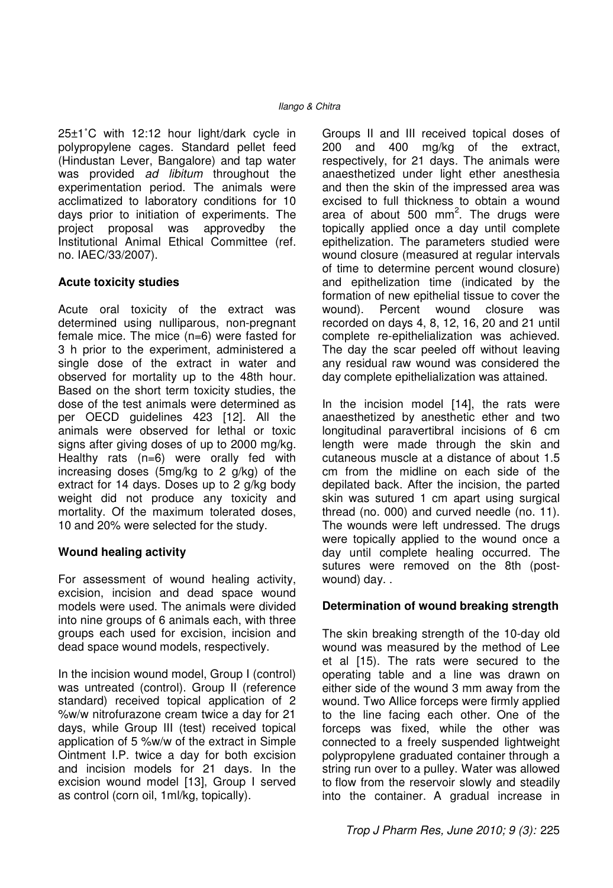25±1˚C with 12:12 hour light/dark cycle in polypropylene cages. Standard pellet feed (Hindustan Lever, Bangalore) and tap water was provided *ad libitum* throughout the experimentation period. The animals were acclimatized to laboratory conditions for 10 days prior to initiation of experiments. The project proposal was approvedby the Institutional Animal Ethical Committee (ref. no. IAEC/33/2007).

#### **Acute toxicity studies**

Acute oral toxicity of the extract was determined using nulliparous, non-pregnant female mice. The mice (n=6) were fasted for 3 h prior to the experiment, administered a single dose of the extract in water and observed for mortality up to the 48th hour. Based on the short term toxicity studies, the dose of the test animals were determined as per OECD guidelines 423 [12]. All the animals were observed for lethal or toxic signs after giving doses of up to 2000 mg/kg. Healthy rats (n=6) were orally fed with increasing doses (5mg/kg to 2 g/kg) of the extract for 14 days. Doses up to 2 g/kg body weight did not produce any toxicity and mortality. Of the maximum tolerated doses, 10 and 20% were selected for the study.

#### **Wound healing activity**

For assessment of wound healing activity, excision, incision and dead space wound models were used. The animals were divided into nine groups of 6 animals each, with three groups each used for excision, incision and dead space wound models, respectively.

In the incision wound model, Group I (control) was untreated (control). Group II (reference standard) received topical application of 2 %w/w nitrofurazone cream twice a day for 21 days, while Group III (test) received topical application of 5 %w/w of the extract in Simple Ointment I.P. twice a day for both excision and incision models for 21 days. In the excision wound model [13], Group I served as control (corn oil, 1ml/kg, topically).

Groups II and III received topical doses of 200 and 400 mg/kg of the extract, respectively, for 21 days. The animals were anaesthetized under light ether anesthesia and then the skin of the impressed area was excised to full thickness to obtain a wound area of about 500 mm $^2$ . The drugs were topically applied once a day until complete epithelization. The parameters studied were wound closure (measured at regular intervals of time to determine percent wound closure) and epithelization time (indicated by the formation of new epithelial tissue to cover the wound). Percent wound closure was recorded on days 4, 8, 12, 16, 20 and 21 until complete re-epithelialization was achieved. The day the scar peeled off without leaving any residual raw wound was considered the day complete epithelialization was attained.

In the incision model [14], the rats were anaesthetized by anesthetic ether and two longitudinal paravertibral incisions of 6 cm length were made through the skin and cutaneous muscle at a distance of about 1.5 cm from the midline on each side of the depilated back. After the incision, the parted skin was sutured 1 cm apart using surgical thread (no. 000) and curved needle (no. 11). The wounds were left undressed. The drugs were topically applied to the wound once a day until complete healing occurred. The sutures were removed on the 8th (postwound) day. .

#### **Determination of wound breaking strength**

The skin breaking strength of the 10-day old wound was measured by the method of Lee et al [15). The rats were secured to the operating table and a line was drawn on either side of the wound 3 mm away from the wound. Two Allice forceps were firmly applied to the line facing each other. One of the forceps was fixed, while the other was connected to a freely suspended lightweight polypropylene graduated container through a string run over to a pulley. Water was allowed to flow from the reservoir slowly and steadily into the container. A gradual increase in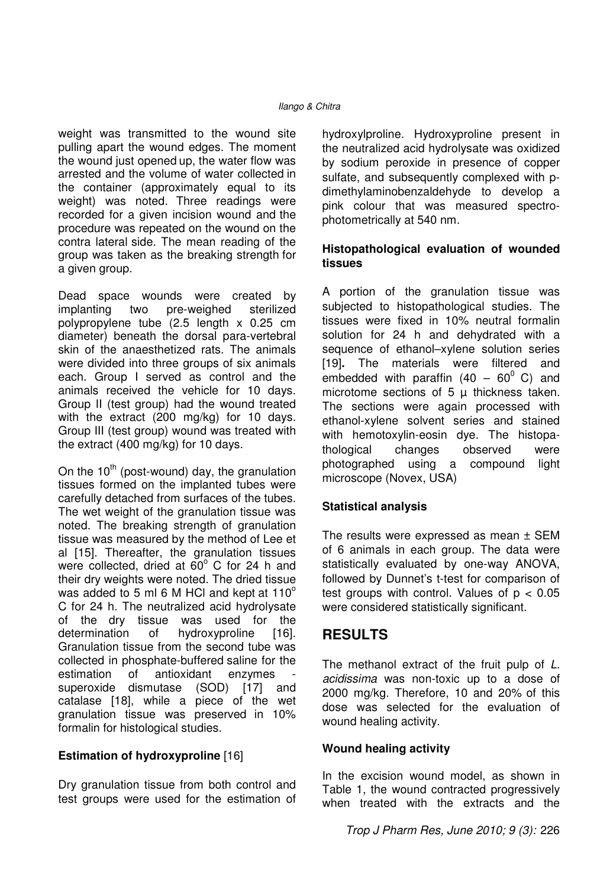weight was transmitted to the wound site pulling apart the wound edges. The moment the wound just opened up, the water flow was arrested and the volume of water collected in the container (approximately equal to its weight) was noted. Three readings were recorded for a given incision wound and the procedure was repeated on the wound on the contra lateral side. The mean reading of the group was taken as the breaking strength for a given group.

Dead space wounds were created by implanting two pre-weighed sterilized polypropylene tube (2.5 length x 0.25 cm diameter) beneath the dorsal para-vertebral skin of the anaesthetized rats. The animals were divided into three groups of six animals each. Group I served as control and the animals received the vehicle for 10 days. Group II (test group) had the wound treated with the extract (200 mg/kg) for 10 days. Group III (test group) wound was treated with the extract (400 mg/kg) for 10 days.

On the  $10^{th}$  (post-wound) day, the granulation tissues formed on the implanted tubes were carefully detached from surfaces of the tubes. The wet weight of the granulation tissue was noted. The breaking strength of granulation tissue was measured by the method of Lee et al [15]. Thereafter, the granulation tissues were collected, dried at  $60^{\circ}$  C for 24 h and their dry weights were noted. The dried tissue was added to 5 ml 6 M HCl and kept at  $110^{\circ}$ C for 24 h. The neutralized acid hydrolysate of the dry tissue was used for the determination of hydroxyproline [16]. Granulation tissue from the second tube was collected in phosphate-buffered saline for the estimation of antioxidant enzymes superoxide dismutase (SOD) [17] and catalase [18], while a piece of the wet granulation tissue was preserved in 10% formalin for histological studies.

#### **Estimation of hydroxyproline** [16]

Dry granulation tissue from both control and test groups were used for the estimation of

hydroxylproline. Hydroxyproline present in the neutralized acid hydrolysate was oxidized by sodium peroxide in presence of copper sulfate, and subsequently complexed with pdimethylaminobenzaldehyde to develop a pink colour that was measured spectrophotometrically at 540 nm.

### **Histopathological evaluation of wounded tissues**

A portion of the granulation tissue was subjected to histopathological studies. The tissues were fixed in 10% neutral formalin solution for 24 h and dehydrated with a sequence of ethanol–xylene solution series [19]**.** The materials were filtered and embedded with paraffin  $(40 - 60^{\circ} \text{ C})$  and microtome sections of  $5 \mu$  thickness taken. The sections were again processed with ethanol-xylene solvent series and stained with hemotoxylin-eosin dye. The histopathological changes observed were photographed using a compound light microscope (Novex, USA)

#### **Statistical analysis**

The results were expressed as mean ± SEM of 6 animals in each group. The data were statistically evaluated by one-way ANOVA, followed by Dunnet's t-test for comparison of test groups with control. Values of  $p < 0.05$ were considered statistically significant.

## **RESULTS**

The methanol extract of the fruit pulp of L. acidissima was non-toxic up to a dose of 2000 mg/kg. Therefore, 10 and 20% of this dose was selected for the evaluation of wound healing activity.

#### **Wound healing activity**

In the excision wound model, as shown in Table 1, the wound contracted progressively when treated with the extracts and the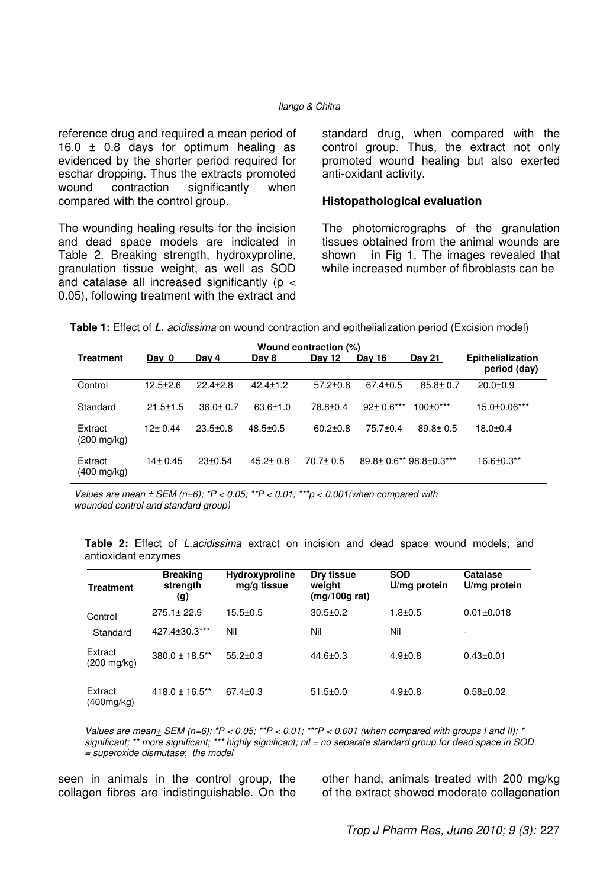#### Ilango & Chitra

reference drug and required a mean period of 16.0  $\pm$  0.8 days for optimum healing as evidenced by the shorter period required for eschar dropping. Thus the extracts promoted wound contraction significantly when compared with the control group.

The wounding healing results for the incision and dead space models are indicated in Table 2. Breaking strength, hydroxyproline, granulation tissue weight, as well as SOD and catalase all increased significantly (p < 0.05), following treatment with the extract and standard drug, when compared with the control group. Thus, the extract not only promoted wound healing but also exerted anti-oxidant activity.

#### **Histopathological evaluation**

The photomicrographs of the granulation tissues obtained from the animal wounds are shown in Fig 1. The images revealed that while increased number of fibroblasts can be

| Wound contraction (%)            |                |                |                |                |                 |                            |                          |  |  |  |
|----------------------------------|----------------|----------------|----------------|----------------|-----------------|----------------------------|--------------------------|--|--|--|
| <b>Treatment</b>                 | Day 0          | Day 4          | Day 8          | <b>Dav 12</b>  | Dav 16          | <b>Day 21</b>              | <b>Epithelialization</b> |  |  |  |
|                                  |                |                |                |                |                 |                            | period (day)             |  |  |  |
| Control                          | $12.5 + 2.6$   | $22.4 \pm 2.8$ | $42.4 \pm 1.2$ | $57.2 \pm 0.6$ | $67.4 \pm 0.5$  | $85.8 \pm 0.7$             | $20.0 + 0.9$             |  |  |  |
| Standard                         | $21.5 \pm 1.5$ | $36.0 \pm 0.7$ | $63.6 \pm 1.0$ | $78.8 + 0.4$   | $92 \pm 0.6***$ | $100+0***$                 | 15.0±0.06***             |  |  |  |
| Extract<br>$(200 \text{ mg/kg})$ | 12+ 0.44       | $23.5 \pm 0.8$ | $48.5 + 0.5$   | $60.2 + 0.8$   | $75.7 + 0.4$    | $89.8 \pm 0.5$             | $18.0 + 0.4$             |  |  |  |
| Extract<br>(400 mg/kg)           | $14 \pm 0.45$  | $23+0.54$      | $45.2 \pm 0.8$ | $70.7 \pm 0.5$ |                 | 89.8 ± 0.6** 98.8 ± 0.3*** | 16.6±0.3**               |  |  |  |

Values are mean  $\pm$  SEM (n=6);  $P < 0.05$ ;  $P < 0.01$ ;  $P > 0.01$ ;  $P > 0.001$  (when compared with wounded control and standard group)

**Table 2:** Effect of L.acidissima extract on incision and dead space wound models, and antioxidant enzymes

| <b>Treatment</b>                 | <b>Breaking</b><br>strength<br>(g) | <b>Hydroxyproline</b><br>mg/g tissue | Dry tissue<br>weight<br>(mq/100q rat) | <b>SOD</b><br>U/mg protein | Catalase<br>U/mg protein |
|----------------------------------|------------------------------------|--------------------------------------|---------------------------------------|----------------------------|--------------------------|
| Control                          | $275.1 \pm 22.9$                   | $15.5 \pm 0.5$                       | $30.5 + 0.2$                          | $1.8 + 0.5$                | $0.01 \pm 0.018$         |
| Standard                         | 427.4+30.3***                      | Nil                                  | Nil                                   | Nil                        | ۰                        |
| Extract<br>$(200 \text{ mg/kg})$ | $380.0 \pm 18.5$ **                | $55.2 + 0.3$                         | $44.6 \pm 0.3$                        | $4.9 \pm 0.8$              | $0.43 + 0.01$            |
| Extract<br>(400mg/kg)            | $418.0 \pm 16.5$ **                | $67.4 \pm 0.3$                       | $51.5 \pm 0.0$                        | $4.9 \pm 0.8$              | $0.58 + 0.02$            |

Values are mean+ SEM (n=6);  $*P < 0.05$ ;  $*P < 0.01$ ;  $**P < 0.001$  (when compared with groups I and II);  $*$ significant; \*\* more significant; \*\*\* highly significant; nil = no separate standard group for dead space in SOD = superoxide dismutase; the model

seen in animals in the control group, the collagen fibres are indistinguishable. On the other hand, animals treated with 200 mg/kg of the extract showed moderate collagenation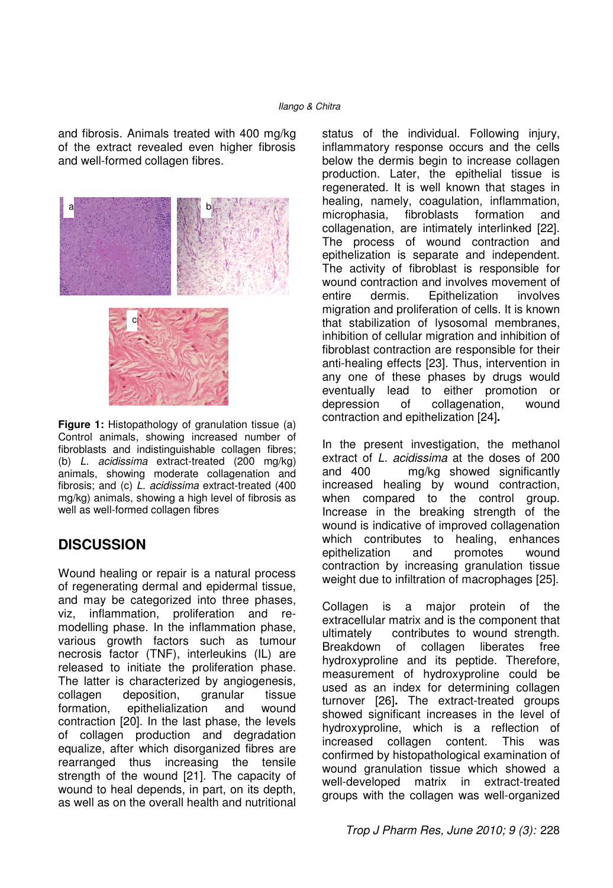and fibrosis. Animals treated with 400 mg/kg of the extract revealed even higher fibrosis and well-formed collagen fibres.



**Figure 1:** Histopathology of granulation tissue (a) Control animals, showing increased number of fibroblasts and indistinguishable collagen fibres; (b) L. acidissima extract-treated (200 mg/kg) animals, showing moderate collagenation and fibrosis; and (c)  $\overline{L}$ . acidissima extract-treated (400 mg/kg) animals, showing a high level of fibrosis as well as well-formed collagen fibres

## **DISCUSSION**

Wound healing or repair is a natural process of regenerating dermal and epidermal tissue, and may be categorized into three phases, viz, inflammation, proliferation and remodelling phase. In the inflammation phase, various growth factors such as tumour necrosis factor (TNF), interleukins (IL) are released to initiate the proliferation phase. The latter is characterized by angiogenesis, collagen deposition, granular tissue formation, epithelialization and wound contraction [20]. In the last phase, the levels of collagen production and degradation equalize, after which disorganized fibres are rearranged thus increasing the tensile strength of the wound [21]. The capacity of wound to heal depends, in part, on its depth, as well as on the overall health and nutritional

status of the individual. Following injury, inflammatory response occurs and the cells below the dermis begin to increase collagen production. Later, the epithelial tissue is regenerated. It is well known that stages in healing, namely, coagulation, inflammation,<br>microphasia, fibroblasts formation and microphasia, fibroblasts formation and collagenation, are intimately interlinked [22]. The process of wound contraction and epithelization is separate and independent. The activity of fibroblast is responsible for wound contraction and involves movement of entire dermis. Epithelization involves migration and proliferation of cells. It is known that stabilization of lysosomal membranes, inhibition of cellular migration and inhibition of fibroblast contraction are responsible for their anti-healing effects [23]. Thus, intervention in any one of these phases by drugs would eventually lead to either promotion or depression of collagenation, wound contraction and epithelization [24]**.**

In the present investigation, the methanol extract of L. acidissima at the doses of 200 and 400 mg/kg showed significantly increased healing by wound contraction, when compared to the control group. Increase in the breaking strength of the wound is indicative of improved collagenation which contributes to healing, enhances epithelization and promotes wound contraction by increasing granulation tissue weight due to infiltration of macrophages [25].

Collagen is a major protein of the extracellular matrix and is the component that ultimately contributes to wound strength. Breakdown of collagen liberates free hydroxyproline and its peptide. Therefore, measurement of hydroxyproline could be used as an index for determining collagen turnover [26]**.** The extract-treated groups showed significant increases in the level of hydroxyproline, which is a reflection of increased collagen content. This was confirmed by histopathological examination of wound granulation tissue which showed a well-developed matrix in extract-treated groups with the collagen was well-organized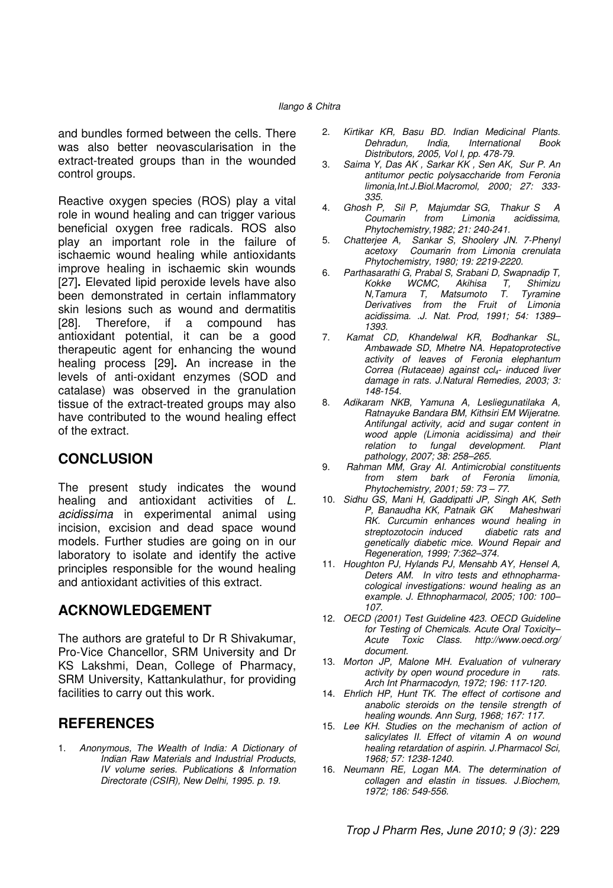and bundles formed between the cells. There was also better neovascularisation in the extract-treated groups than in the wounded control groups.

Reactive oxygen species (ROS) play a vital role in wound healing and can trigger various beneficial oxygen free radicals. ROS also play an important role in the failure of ischaemic wound healing while antioxidants improve healing in ischaemic skin wounds [27]**.** Elevated lipid peroxide levels have also been demonstrated in certain inflammatory skin lesions such as wound and dermatitis [28]. Therefore, if a compound has antioxidant potential, it can be a good therapeutic agent for enhancing the wound healing process [29]**.** An increase in the levels of anti-oxidant enzymes (SOD and catalase) was observed in the granulation tissue of the extract-treated groups may also have contributed to the wound healing effect of the extract.

### **CONCLUSION**

The present study indicates the wound healing and antioxidant activities of L. acidissima in experimental animal using incision, excision and dead space wound models. Further studies are going on in our laboratory to isolate and identify the active principles responsible for the wound healing and antioxidant activities of this extract.

### **ACKNOWLEDGEMENT**

The authors are grateful to Dr R Shivakumar, Pro-Vice Chancellor, SRM University and Dr KS Lakshmi, Dean, College of Pharmacy, SRM University, Kattankulathur, for providing facilities to carry out this work.

### **REFERENCES**

1. Anonymous, The Wealth of India: A Dictionary of Indian Raw Materials and Industrial Products, IV volume series. Publications & Information Directorate (CSIR), New Delhi, 1995. p. 19.

- 2. Kirtikar KR, Basu BD. Indian Medicinal Plants. International Distributors, 2005, Vol I, pp. 478-79.
- 3. Saima Y, Das AK , Sarkar KK , Sen AK, Sur P. An antitumor pectic polysaccharide from Feronia limonia,Int.J.Biol.Macromol, 2000; 27: 333- 335.
- 4. Ghosh P, Sil P, Majumdar SG, Thakur S A<br>Coumarin from Limonia acidissima. acidissima. Phytochemistry,1982; 21: 240-241.
- 5. Chatterjee A, Sankar S, Shoolery JN. 7-Phenyl acetoxy Coumarin from Limonia crenulata Phytochemistry, 1980; 19: 2219-2220.
- 6. Parthasarathi G, Prabal S, Srabani D, Swapnadip T, Kokke WCMC, Akihisa T, Shimizu N,Tamura T, Matsumoto T. Tyramine Derivatives from the Fruit of Limonia acidissima. .J. Nat. Prod, 1991; 54: 1389– 1393.
- 7. Kamat CD, Khandelwal KR, Bodhankar SL, Ambawade SD, Mhetre NA. Hepatoprotective activity of leaves of Feronia elephantum Correa (Rutaceae) against  $ccl<sub>4</sub>$ - induced liver damage in rats. J.Natural Remedies, 2003; 3: 148-154.
- 8. Adikaram NKB, Yamuna A, Lesliegunatilaka A, Ratnayuke Bandara BM, Kithsiri EM Wijeratne. Antifungal activity, acid and sugar content in wood apple (Limonia acidissima) and their relation to fungal development. Plant pathology, 2007; 38: 258–265.
- 9. Rahman MM, Gray Al. Antimicrobial constituents from stem bark of Feronia limonia, Phytochemistry, 2001; 59: 73 – 77.
- 10. Sidhu GS, Mani H, Gaddipatti JP, Singh AK, Seth P, Banaudha KK, Patnaik GK Maheshwari RK. Curcumin enhances wound healing in streptozotocin induced aiabetic rats and genetically diabetic mice. Wound Repair and Regeneration, 1999; 7:362–374.
- 11. Houghton PJ, Hylands PJ, Mensahb AY, Hensel A, Deters AM. In vitro tests and ethnopharmacological investigations: wound healing as an example. J. Ethnopharmacol, 2005; 100: 100– 107.
- 12. OECD (2001) Test Guideline 423. OECD Guideline for Testing of Chemicals. Acute Oral Toxicity– Acute Toxic Class. http://www.oecd.org/ document.
- 13. Morton JP, Malone MH. Evaluation of vulnerary activity by open wound procedure in rats. Arch Int Pharmacodyn, 1972; 196: 117-120.
- 14. Ehrlich HP, Hunt TK. The effect of cortisone and anabolic steroids on the tensile strength of healing wounds. Ann Surg, 1968; 167: 117.
- 15. Lee KH. Studies on the mechanism of action of salicylates II. Effect of vitamin A on wound healing retardation of aspirin. J.Pharmacol Sci, 1968; 57: 1238-1240.
- 16. Neumann RE, Logan MA. The determination of collagen and elastin in tissues. J.Biochem, 1972; 186: 549-556.